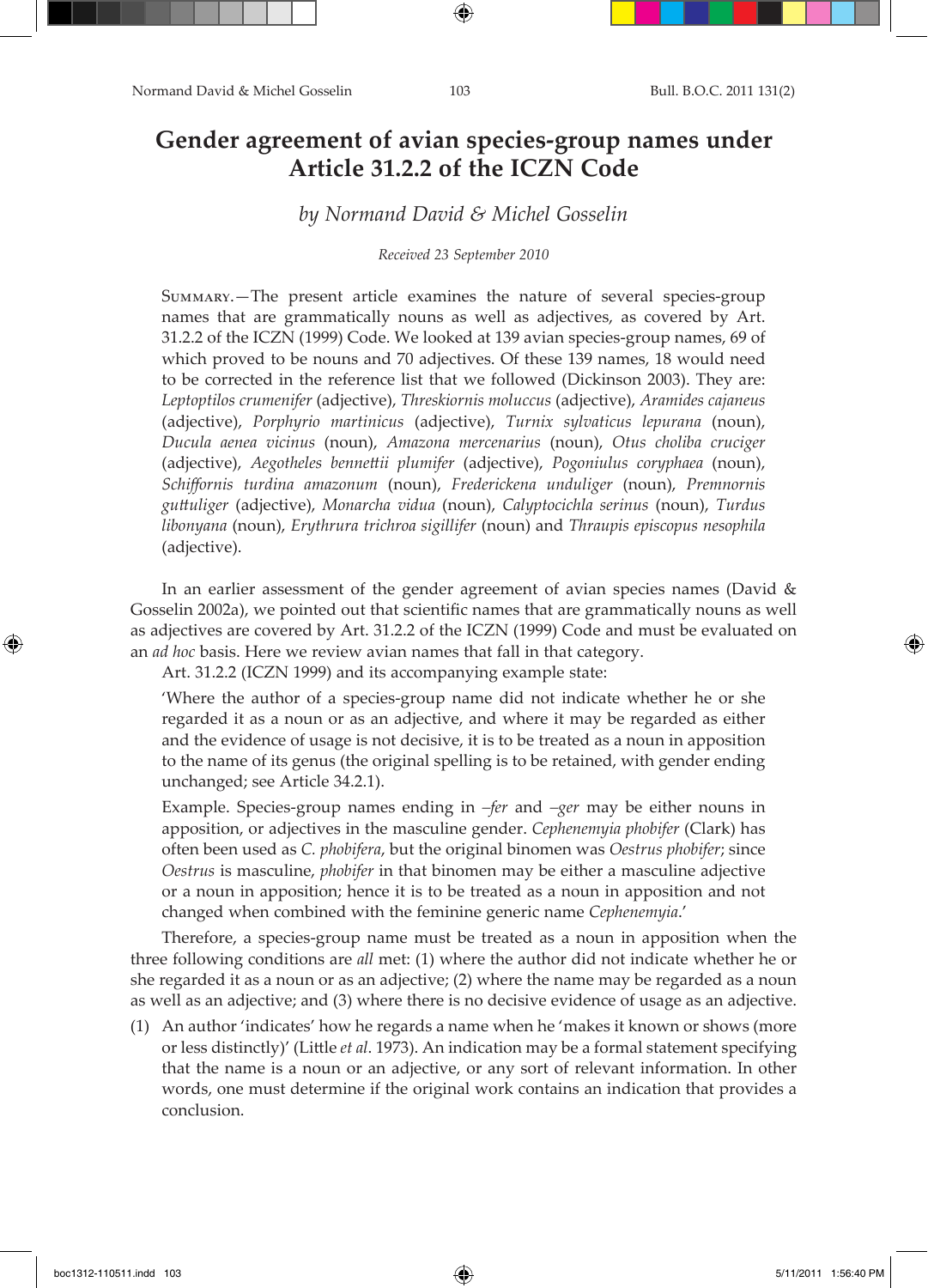# **Gender agreement of avian species-group names under Article 31.2.2 of the ICZN Code**

# *by Normand David & Michel Gosselin*

### *Received 23 September 2010*

Summary.—The present article examines the nature of several species-group names that are grammatically nouns as well as adjectives, as covered by Art. 31.2.2 of the ICZN (1999) Code. We looked at 139 avian species-group names, 69 of which proved to be nouns and 70 adjectives. Of these 139 names, 18 would need to be corrected in the reference list that we followed (Dickinson 2003). They are: *Leptoptilos crumenifer* (adjective), *Threskiornis moluccus* (adjective), *Aramides cajaneus*  (adjective), *Porphyrio martinicus* (adjective), *Turnix sylvaticus lepurana* (noun), *Ducula aenea vicinus* (noun), *Amazona mercenarius* (noun), *Otus choliba cruciger*  (adjective), *Aegotheles bennettii plumifer* (adjective), *Pogoniulus coryphaea* (noun), *Schiffornis turdina amazonum* (noun), *Frederickena unduliger* (noun), *Premnornis guttuliger* (adjective), *Monarcha vidua* (noun), *Calyptocichla serinus* (noun), *Turdus libonyana* (noun), *Erythrura trichroa sigillifer* (noun) and *Thraupis episcopus nesophila*  (adjective).

In an earlier assessment of the gender agreement of avian species names (David & Gosselin 2002a), we pointed out that scientific names that are grammatically nouns as well as adjectives are covered by Art. 31.2.2 of the ICZN (1999) Code and must be evaluated on an *ad hoc* basis. Here we review avian names that fall in that category.

Art. 31.2.2 (ICZN 1999) and its accompanying example state:

'Where the author of a species-group name did not indicate whether he or she regarded it as a noun or as an adjective, and where it may be regarded as either and the evidence of usage is not decisive, it is to be treated as a noun in apposition to the name of its genus (the original spelling is to be retained, with gender ending unchanged; see Article 34.2.1).

Example. Species-group names ending in *–fer* and *–ger* may be either nouns in apposition, or adjectives in the masculine gender. *Cephenemyia phobifer* (Clark) has often been used as *C. phobifera*, but the original binomen was *Oestrus phobifer*; since *Oestrus* is masculine, *phobifer* in that binomen may be either a masculine adjective or a noun in apposition; hence it is to be treated as a noun in apposition and not changed when combined with the feminine generic name *Cephenemyia*.'

Therefore, a species-group name must be treated as a noun in apposition when the three following conditions are *all* met: (1) where the author did not indicate whether he or she regarded it as a noun or as an adjective; (2) where the name may be regarded as a noun as well as an adjective; and (3) where there is no decisive evidence of usage as an adjective.

(1) An author 'indicates' how he regards a name when he 'makes it known or shows (more or less distinctly)' (Little *et al*. 1973). An indication may be a formal statement specifying that the name is a noun or an adjective, or any sort of relevant information. In other words, one must determine if the original work contains an indication that provides a conclusion.

boc1312-110511.indd 103 5/11/2011 1:56:40 PM

↔

↔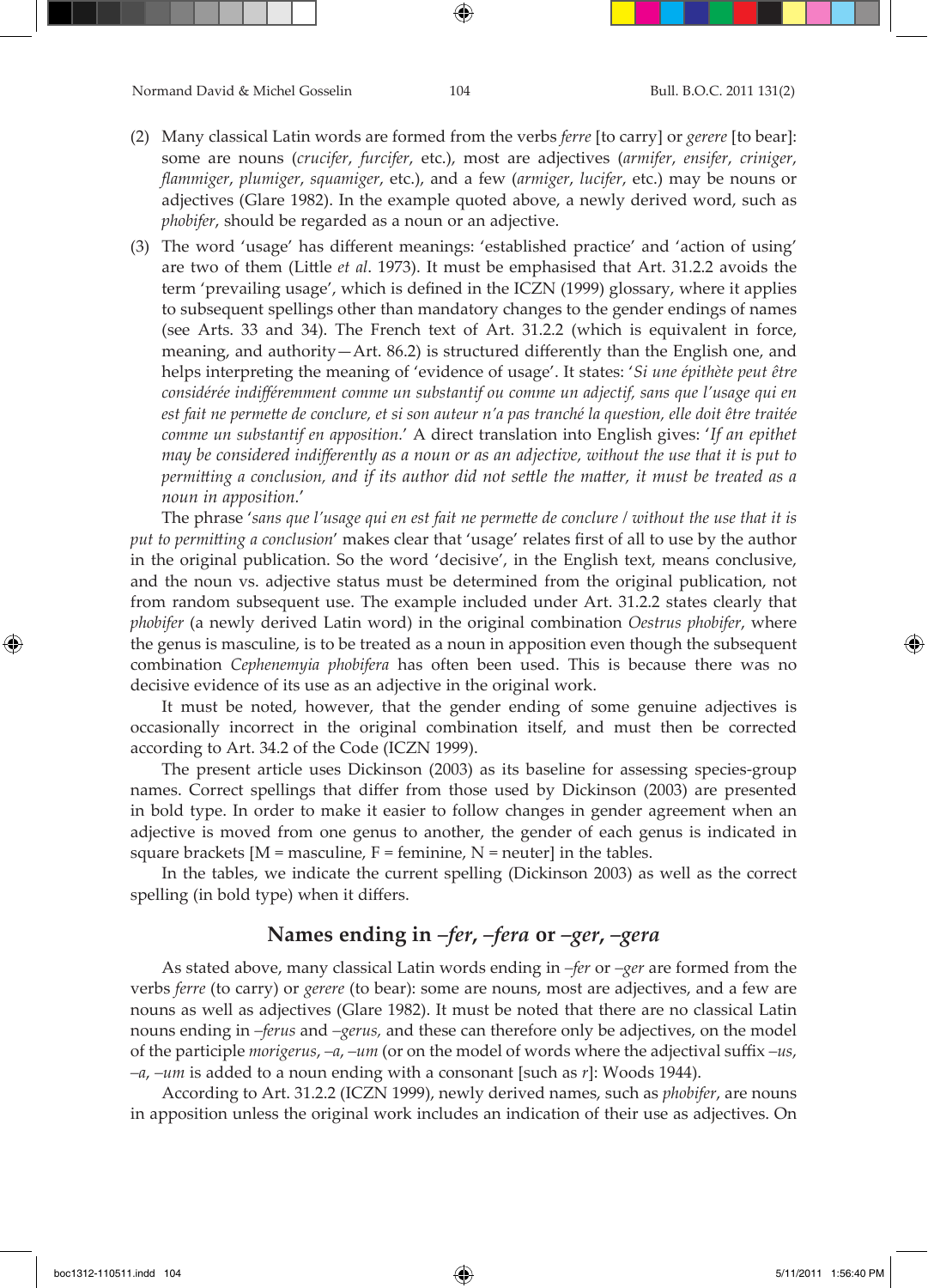- (2) Many classical Latin words are formed from the verbs *ferre* [to carry] or *gerere* [to bear]: some are nouns (*crucifer*, *furcifer*, etc.), most are adjectives (*armifer*, *ensifer*, *criniger*, *flammiger*, *plumiger*, *squamiger*, etc.), and a few (*armiger*, *lucifer*, etc.) may be nouns or adjectives (Glare 1982). In the example quoted above, a newly derived word, such as *phobifer*, should be regarded as a noun or an adjective.
- (3) The word 'usage' has different meanings: 'established practice' and 'action of using' are two of them (Little *et al*. 1973). It must be emphasised that Art. 31.2.2 avoids the term 'prevailing usage', which is defined in the ICZN (1999) glossary, where it applies to subsequent spellings other than mandatory changes to the gender endings of names (see Arts. 33 and 34). The French text of Art. 31.2.2 (which is equivalent in force, meaning, and authority—Art. 86.2) is structured differently than the English one, and helps interpreting the meaning of 'evidence of usage'. It states: '*Si une épithète peut être considérée indifféremment comme un substantif ou comme un adjectif, sans que l'usage qui en est fait ne permette de conclure, et si son auteur n'a pas tranché la question, elle doit être traitée comme un substantif en apposition.*' A direct translation into English gives: '*If an epithet may be considered indifferently as a noun or as an adjective, without the use that it is put to permitting a conclusion, and if its author did not settle the matter, it must be treated as a noun in apposition.*'

The phrase '*sans que l'usage qui en est fait ne permette de conclure / without the use that it is put to permitting a conclusion*' makes clear that 'usage' relates first of all to use by the author in the original publication. So the word 'decisive', in the English text, means conclusive, and the noun vs. adjective status must be determined from the original publication, not from random subsequent use. The example included under Art. 31.2.2 states clearly that *phobifer* (a newly derived Latin word) in the original combination *Oestrus phobifer*, where the genus is masculine, is to be treated as a noun in apposition even though the subsequent combination *Cephenemyia phobifera* has often been used. This is because there was no decisive evidence of its use as an adjective in the original work.

It must be noted, however, that the gender ending of some genuine adjectives is occasionally incorrect in the original combination itself, and must then be corrected according to Art. 34.2 of the Code (ICZN 1999).

The present article uses Dickinson (2003) as its baseline for assessing species-group names. Correct spellings that differ from those used by Dickinson (2003) are presented in bold type. In order to make it easier to follow changes in gender agreement when an adjective is moved from one genus to another, the gender of each genus is indicated in square brackets  $[M =$  masculine,  $F =$  feminine,  $N =$  neuter in the tables.

In the tables, we indicate the current spelling (Dickinson 2003) as well as the correct spelling (in bold type) when it differs.

# **Names ending in** *–fer***,** *–fera* **or** *–ger***,** *–gera*

As stated above, many classical Latin words ending in *–fer* or *–ger* are formed from the verbs *ferre* (to carry) or *gerere* (to bear): some are nouns, most are adjectives, and a few are nouns as well as adjectives (Glare 1982). It must be noted that there are no classical Latin nouns ending in *–ferus* and *–gerus,* and these can therefore only be adjectives, on the model of the participle *morigerus*, *–a*, *–um* (or on the model of words where the adjectival suffix *–us*, *–a*, *–um* is added to a noun ending with a consonant [such as *r*]: Woods 1944).

According to Art. 31.2.2 (ICZN 1999), newly derived names, such as *phobifer*, are nouns in apposition unless the original work includes an indication of their use as adjectives. On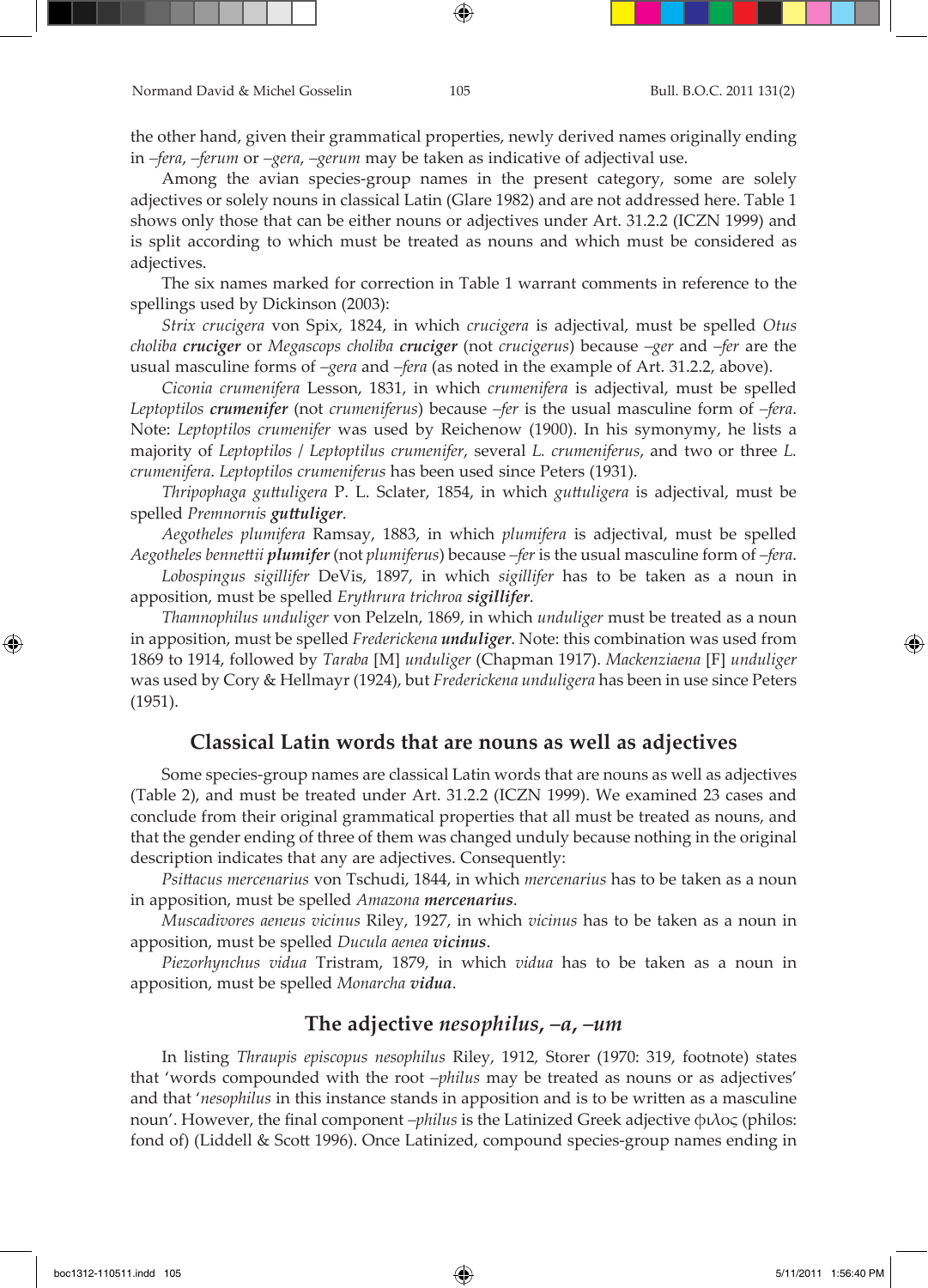the other hand, given their grammatical properties, newly derived names originally ending in *–fera*, *–ferum* or *–gera*, *–gerum* may be taken as indicative of adjectival use.

Among the avian species-group names in the present category, some are solely adjectives or solely nouns in classical Latin (Glare 1982) and are not addressed here. Table 1 shows only those that can be either nouns or adjectives under Art. 31.2.2 (ICZN 1999) and is split according to which must be treated as nouns and which must be considered as adjectives.

The six names marked for correction in Table 1 warrant comments in reference to the spellings used by Dickinson (2003):

*Strix crucigera* von Spix, 1824, in which *crucigera* is adjectival, must be spelled *Otus choliba cruciger* or *Megascops choliba cruciger* (not *crucigerus*) because *–ger* and *–fer* are the usual masculine forms of *–gera* and *–fera* (as noted in the example of Art. 31.2.2, above).

*Ciconia crumenifera* Lesson, 1831, in which *crumenifera* is adjectival, must be spelled *Leptoptilos crumenifer* (not *crumeniferus*) because *–fer* is the usual masculine form of *–fera*. Note: *Leptoptilos crumenifer* was used by Reichenow (1900). In his symonymy, he lists a majority of *Leptoptilos* / *Leptoptilus crumenifer*, several *L. crumeniferus*, and two or three *L. crumenifera*. *Leptoptilos crumeniferus* has been used since Peters (1931).

*Thripophaga guttuligera* P. L. Sclater, 1854, in which *guttuligera* is adjectival, must be spelled *Premnornis guttuliger*.

*Aegotheles plumifera* Ramsay, 1883, in which *plumifera* is adjectival, must be spelled *Aegotheles bennettii plumifer* (not *plumiferus*) because *–fer* is the usual masculine form of *–fera*.

*Lobospingus sigillifer* DeVis, 1897, in which *sigillifer* has to be taken as a noun in apposition, must be spelled *Erythrura trichroa sigillifer*.

*Thamnophilus unduliger* von Pelzeln, 1869, in which *unduliger* must be treated as a noun in apposition, must be spelled *Frederickena unduliger*. Note: this combination was used from 1869 to 1914, followed by *Taraba* [M] *unduliger* (Chapman 1917). *Mackenziaena* [F] *unduliger* was used by Cory & Hellmayr (1924), but *Frederickena unduligera* has been in use since Peters (1951).

### **Classical Latin words that are nouns as well as adjectives**

Some species-group names are classical Latin words that are nouns as well as adjectives (Table 2), and must be treated under Art. 31.2.2 (ICZN 1999). We examined 23 cases and conclude from their original grammatical properties that all must be treated as nouns, and that the gender ending of three of them was changed unduly because nothing in the original description indicates that any are adjectives. Consequently:

*Psittacus mercenarius* von Tschudi, 1844, in which *mercenarius* has to be taken as a noun in apposition, must be spelled *Amazona mercenarius*.

*Muscadivores aeneus vicinus* Riley, 1927, in which *vicinus* has to be taken as a noun in apposition, must be spelled *Ducula aenea vicinus*.

*Piezorhynchus vidua* Tristram, 1879, in which *vidua* has to be taken as a noun in apposition, must be spelled *Monarcha vidua*.

# **The adjective** *nesophilus***,** *–a***,** *–um*

In listing *Thraupis episcopus nesophilus* Riley, 1912*,* Storer (1970: 319, footnote) states that 'words compounded with the root *–philus* may be treated as nouns or as adjectives' and that '*nesophilus* in this instance stands in apposition and is to be written as a masculine noun'. However, the final component *–philus* is the Latinized Greek adjective φιλος (philos: fond of) (Liddell & Scott 1996). Once Latinized, compound species-group names ending in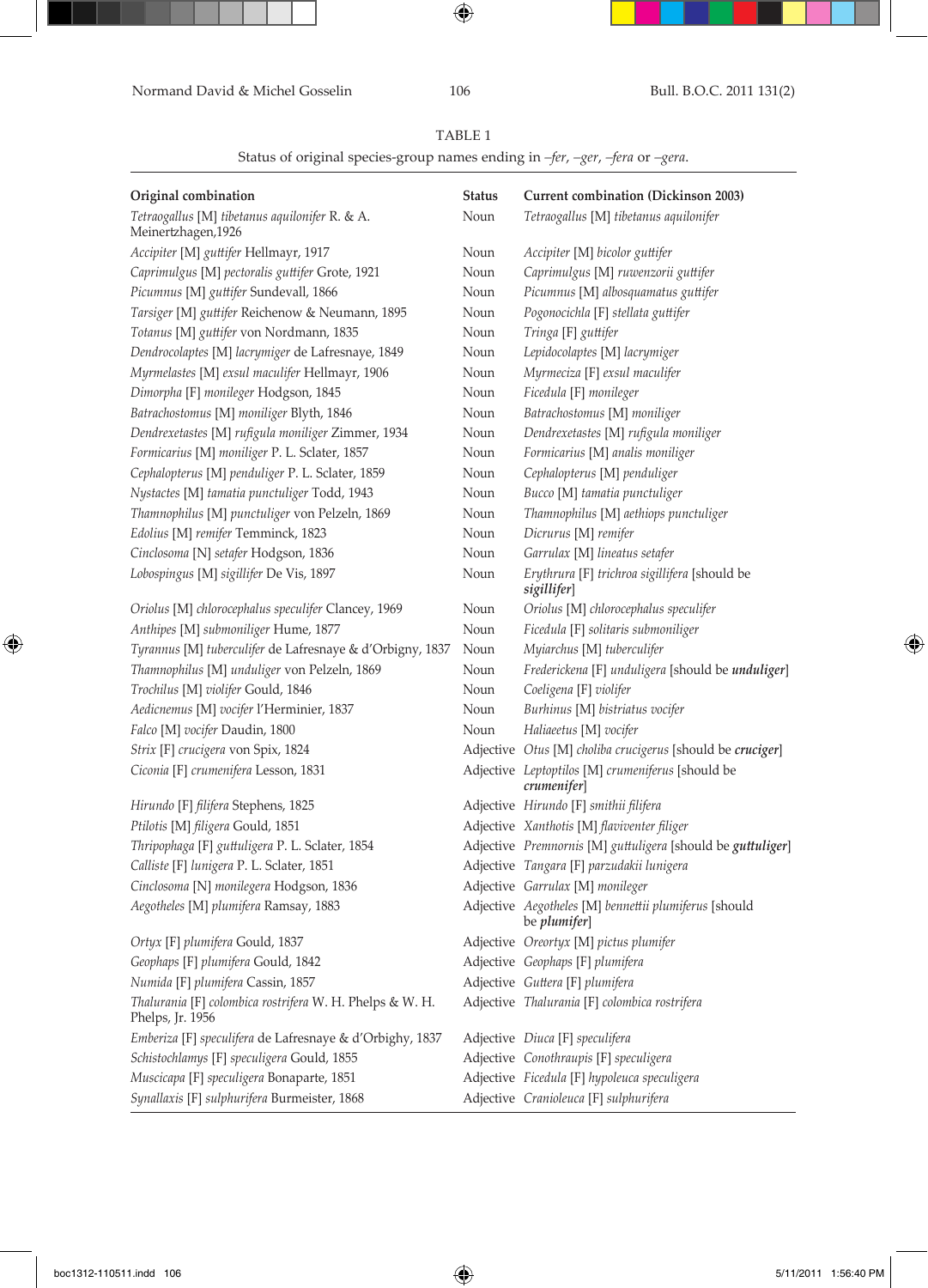Normand David & Michel Gosselin 106 Bull. B.O.C. 2011 131(2)

 $\bigoplus$ 

# TABLE 1

Status of original species-group names ending in *–fer*, *–ger*, *–fera* or *–gera*.

| Original combination                                                         | <b>Status</b> | Current combination (Dickinson 2003)                                        |
|------------------------------------------------------------------------------|---------------|-----------------------------------------------------------------------------|
| Tetraogallus [M] tibetanus aquilonifer R. & A.<br>Meinertzhagen, 1926        | Noun          | Tetraogallus [M] tibetanus aquilonifer                                      |
| Accipiter [M] guttifer Hellmayr, 1917                                        | Noun          | Accipiter [M] bicolor guttifer                                              |
| Caprimulgus [M] pectoralis guttifer Grote, 1921                              | Noun          | Caprimulgus [M] ruwenzorii guttifer                                         |
| Picumnus [M] guttifer Sundevall, 1866                                        | Noun          | Picumnus [M] albosquamatus guttifer                                         |
| Tarsiger [M] guttifer Reichenow & Neumann, 1895                              | Noun          | Pogonocichla [F] stellata guttifer                                          |
| Totanus [M] guttifer von Nordmann, 1835                                      | Noun          | Tringa [F] guttifer                                                         |
| Dendrocolaptes [M] lacrymiger de Lafresnaye, 1849                            | Noun          | Lepidocolaptes [M] lacrymiger                                               |
| Myrmelastes [M] exsul maculifer Hellmayr, 1906                               | Noun          | Myrmeciza [F] exsul maculifer                                               |
| Dimorpha [F] monileger Hodgson, 1845                                         | Noun          | Ficedula [F] monileger                                                      |
| Batrachostomus [M] moniliger Blyth, 1846                                     | Noun          | Batrachostomus [M] moniliger                                                |
| Dendrexetastes [M] rufigula moniliger Zimmer, 1934                           | Noun          | Dendrexetastes [M] rufigula moniliger                                       |
| Formicarius [M] moniliger P. L. Sclater, 1857                                | Noun          | Formicarius [M] analis moniliger                                            |
| Cephalopterus [M] penduliger P. L. Sclater, 1859                             | Noun          | Cephalopterus [M] penduliger                                                |
| Nystactes [M] tamatia punctuliger Todd, 1943                                 | Noun          | Bucco [M] tamatia punctuliger                                               |
| Thamnophilus [M] punctuliger von Pelzeln, 1869                               | Noun          | Thamnophilus [M] aethiops punctuliger                                       |
| Edolius [M] remifer Temminck, 1823                                           | Noun          | Dicrurus [M] remifer                                                        |
| Cinclosoma [N] setafer Hodgson, 1836                                         | Noun          | Garrulax [M] lineatus setafer                                               |
| Lobospingus [M] sigillifer De Vis, 1897                                      | Noun          | Erythrura [F] trichroa sigillifera [should be<br>sigillifer]                |
| Oriolus [M] chlorocephalus speculifer Clancey, 1969                          | Noun          | Oriolus [M] chlorocephalus speculifer                                       |
| Anthipes [M] submoniliger Hume, 1877                                         | Noun          | Ficedula [F] solitaris submoniliger                                         |
| Tyrannus [M] tuberculifer de Lafresnaye & d'Orbigny, 1837                    | Noun          | Myiarchus [M] tuberculifer                                                  |
| Thamnophilus [M] unduliger von Pelzeln, 1869                                 | Noun          | Frederickena [F] unduligera [should be unduliger]                           |
| Trochilus [M] violifer Gould, 1846                                           | Noun          | Coeligena [F] violifer                                                      |
| Aedicnemus [M] vocifer l'Herminier, 1837                                     | Noun          | Burhinus [M] bistriatus vocifer                                             |
| Falco [M] vocifer Daudin, 1800                                               | Noun          | Haliaeetus [M] vocifer                                                      |
| Strix [F] crucigera von Spix, 1824                                           |               | Adjective Otus [M] choliba crucigerus [should be cruciger]                  |
| Ciconia [F] crumenifera Lesson, 1831                                         |               | Adjective Leptoptilos [M] crumeniferus [should be<br>crumenifer]            |
| Hirundo [F] filifera Stephens, 1825                                          |               | Adjective Hirundo [F] smithii filifera                                      |
| Ptilotis [M] filigera Gould, 1851                                            |               | Adjective Xanthotis [M] flaviventer filiger                                 |
| Thripophaga [F] guttuligera P. L. Sclater, 1854                              |               | Adjective Premnornis [M] guttuligera [should be guttuliger]                 |
| Calliste [F] lunigera P. L. Sclater, 1851                                    |               | Adjective Tangara [F] parzudakii lunigera                                   |
| Cinclosoma [N] monilegera Hodgson, 1836                                      |               | Adjective Garrulax [M] monileger                                            |
| Aegotheles [M] plumifera Ramsay, 1883                                        |               | Adjective Aegotheles [M] bennettii plumiferus [should<br>be <i>plumifer</i> |
| Ortyx [F] plumifera Gould, 1837                                              |               | Adjective Oreortyx [M] pictus plumifer                                      |
| Geophaps [F] plumifera Gould, 1842                                           |               | Adjective Geophaps [F] plumifera                                            |
| Numida [F] plumifera Cassin, 1857                                            |               | Adjective Guttera [F] plumifera                                             |
| Thalurania [F] colombica rostrifera W. H. Phelps & W. H.<br>Phelps, Jr. 1956 |               | Adjective Thalurania [F] colombica rostrifera                               |
| Emberiza [F] speculifera de Lafresnaye & d'Orbighy, 1837                     |               | Adjective Diuca [F] speculifera                                             |
| Schistochlamys [F] speculigera Gould, 1855                                   |               | Adjective Conothraupis [F] speculigera                                      |
| Muscicapa [F] speculigera Bonaparte, 1851                                    |               | Adjective Ficedula [F] hypoleuca speculigera                                |
| Synallaxis [F] sulphurifera Burmeister, 1868                                 |               | Adjective Cranioleuca [F] sulphurifera                                      |

 $\bigoplus$ 

 $\bigoplus$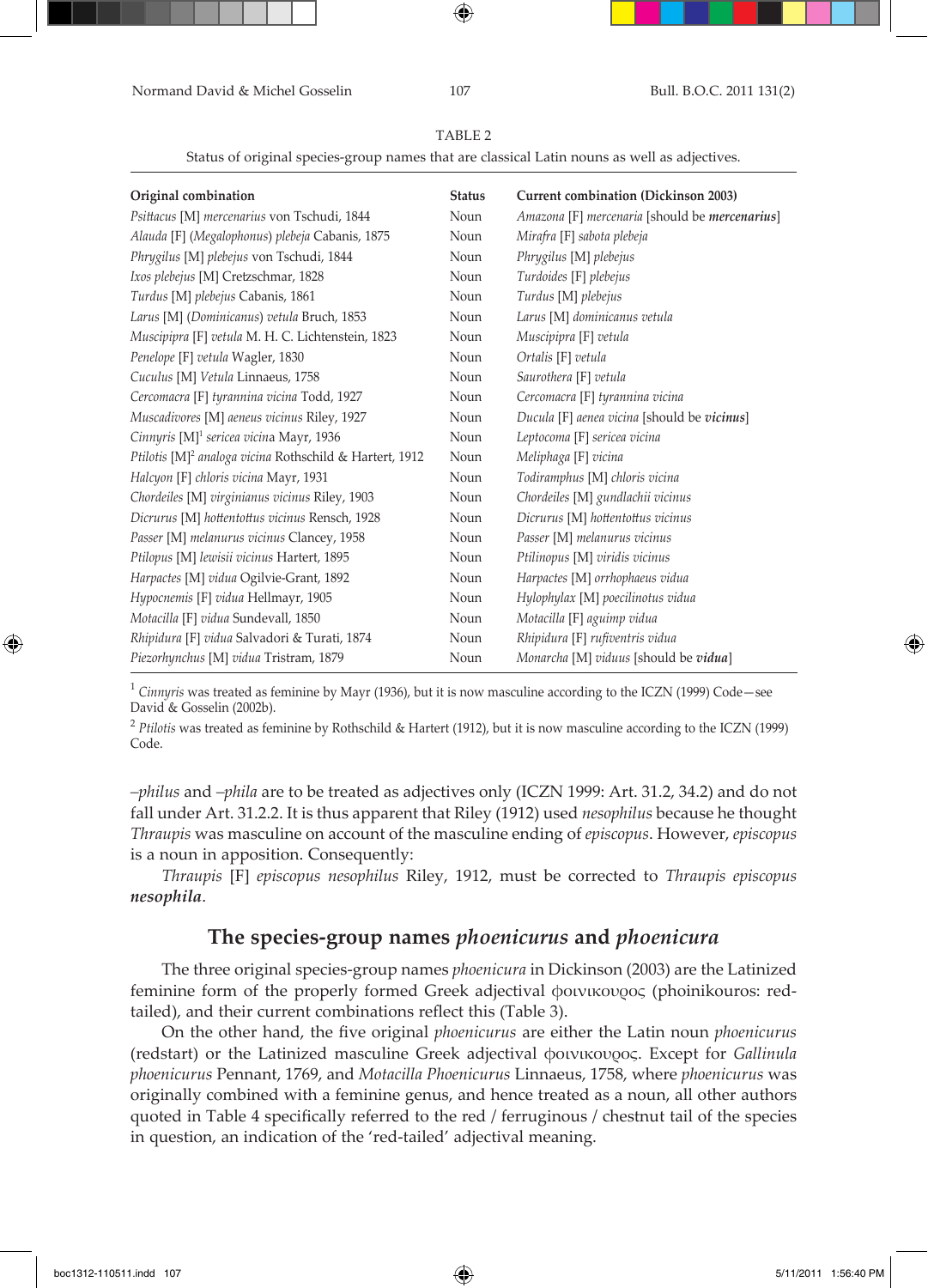Normand David & Michel Gosselin 107 Bull. B.O.C. 2011 131(2)

⊕

TABLE 2

| Status of original species-group names that are classical Latin nouns as well as adjectives. |  |
|----------------------------------------------------------------------------------------------|--|
|                                                                                              |  |
|                                                                                              |  |
|                                                                                              |  |

| Original combination                                                | <b>Status</b> | <b>Current combination (Dickinson 2003)</b>    |
|---------------------------------------------------------------------|---------------|------------------------------------------------|
| Psittacus [M] mercenarius von Tschudi, 1844                         | Noun          | Amazona [F] mercenaria [should be mercenarius] |
| Alauda [F] (Megalophonus) plebeja Cabanis, 1875                     | Noun          | Mirafra [F] sabota plebeja                     |
| Phrygilus [M] plebejus von Tschudi, 1844                            | Noun          | Phrygilus [M] plebejus                         |
| Ixos plebejus [M] Cretzschmar, 1828                                 | Noun          | Turdoides [F] plebejus                         |
| Turdus [M] plebejus Cabanis, 1861                                   | Noun          | Turdus [M] plebejus                            |
| Larus [M] (Dominicanus) vetula Bruch, 1853                          | Noun          | Larus [M] dominicanus vetula                   |
| Muscipipra [F] vetula M. H. C. Lichtenstein, 1823                   | Noun          | Muscipipra [F] vetula                          |
| Penelope [F] vetula Wagler, 1830                                    | Noun          | Ortalis [F] vetula                             |
| Cuculus [M] Vetula Linnaeus, 1758                                   | Noun          | Saurothera [F] vetula                          |
| Cercomacra [F] tyrannina vicina Todd, 1927                          | Noun          | Cercomacra [F] tyrannina vicina                |
| Muscadivores [M] aeneus vicinus Riley, 1927                         | Noun          | Ducula [F] aenea vicina [should be vicinus]    |
| Cinnyris [M] <sup>1</sup> sericea vicina Mayr, 1936                 | Noun          | Leptocoma [F] sericea vicina                   |
| Ptilotis [M] <sup>2</sup> analoga vicina Rothschild & Hartert, 1912 | Noun          | Meliphaga [F] vicina                           |
| Halcyon [F] chloris vicina Mayr, 1931                               | Noun          | Todiramphus [M] chloris vicina                 |
| Chordeiles [M] virginianus vicinus Riley, 1903                      | Noun          | Chordeiles [M] gundlachii vicinus              |
| Dicrurus [M] hottentottus vicinus Rensch, 1928                      | Noun          | Dicrurus [M] hottentottus vicinus              |
| Passer [M] melanurus vicinus Clancey, 1958                          | Noun          | Passer [M] melanurus vicinus                   |
| Ptilopus [M] lewisii vicinus Hartert, 1895                          | Noun          | Ptilinopus [M] viridis vicinus                 |
| Harpactes [M] vidua Ogilvie-Grant, 1892                             | Noun          | Harpactes [M] orrhophaeus vidua                |
| Hypocnemis [F] vidua Hellmayr, 1905                                 | Noun          | Hylophylax [M] poecilinotus vidua              |
| Motacilla [F] vidua Sundevall, 1850                                 | Noun          | Motacilla [F] aguimp vidua                     |
| Rhipidura [F] vidua Salvadori & Turati, 1874                        | Noun          | Rhipidura [F] rufiventris vidua                |
| Piezorhynchus [M] vidua Tristram, 1879                              | Noun          | Monarcha [M] viduus [should be vidua]          |

<sup>1</sup> *Cinnyris* was treated as feminine by Mayr (1936), but it is now masculine according to the ICZN (1999) Code—see David & Gosselin (2002b).

<sup>2</sup> *Ptilotis* was treated as feminine by Rothschild & Hartert (1912), but it is now masculine according to the ICZN (1999) Code.

*–philus* and *–phila* are to be treated as adjectives only (ICZN 1999: Art. 31.2, 34.2) and do not fall under Art. 31.2.2. It is thus apparent that Riley (1912) used *nesophilus* because he thought *Thraupis* was masculine on account of the masculine ending of *episcopus*. However, *episcopus* is a noun in apposition. Consequently:

*Thraupis* [F] *episcopus nesophilus* Riley, 1912, must be corrected to *Thraupis episcopus nesophila*.

# **The species-group names** *phoenicurus* **and** *phoenicura*

The three original species-group names *phoenicura* in Dickinson (2003) are the Latinized feminine form of the properly formed Greek adjectival φοινικουρος (phoinikouros: redtailed), and their current combinations reflect this (Table 3).

On the other hand, the five original *phoenicurus* are either the Latin noun *phoenicurus* (redstart) or the Latinized masculine Greek adjectival φοινικουρος. Except for *Gallinula phoenicurus* Pennant, 1769, and *Motacilla Phoenicurus* Linnaeus, 1758, where *phoenicurus* was originally combined with a feminine genus, and hence treated as a noun, all other authors quoted in Table 4 specifically referred to the red / ferruginous / chestnut tail of the species in question, an indication of the 'red-tailed' adjectival meaning.

⊕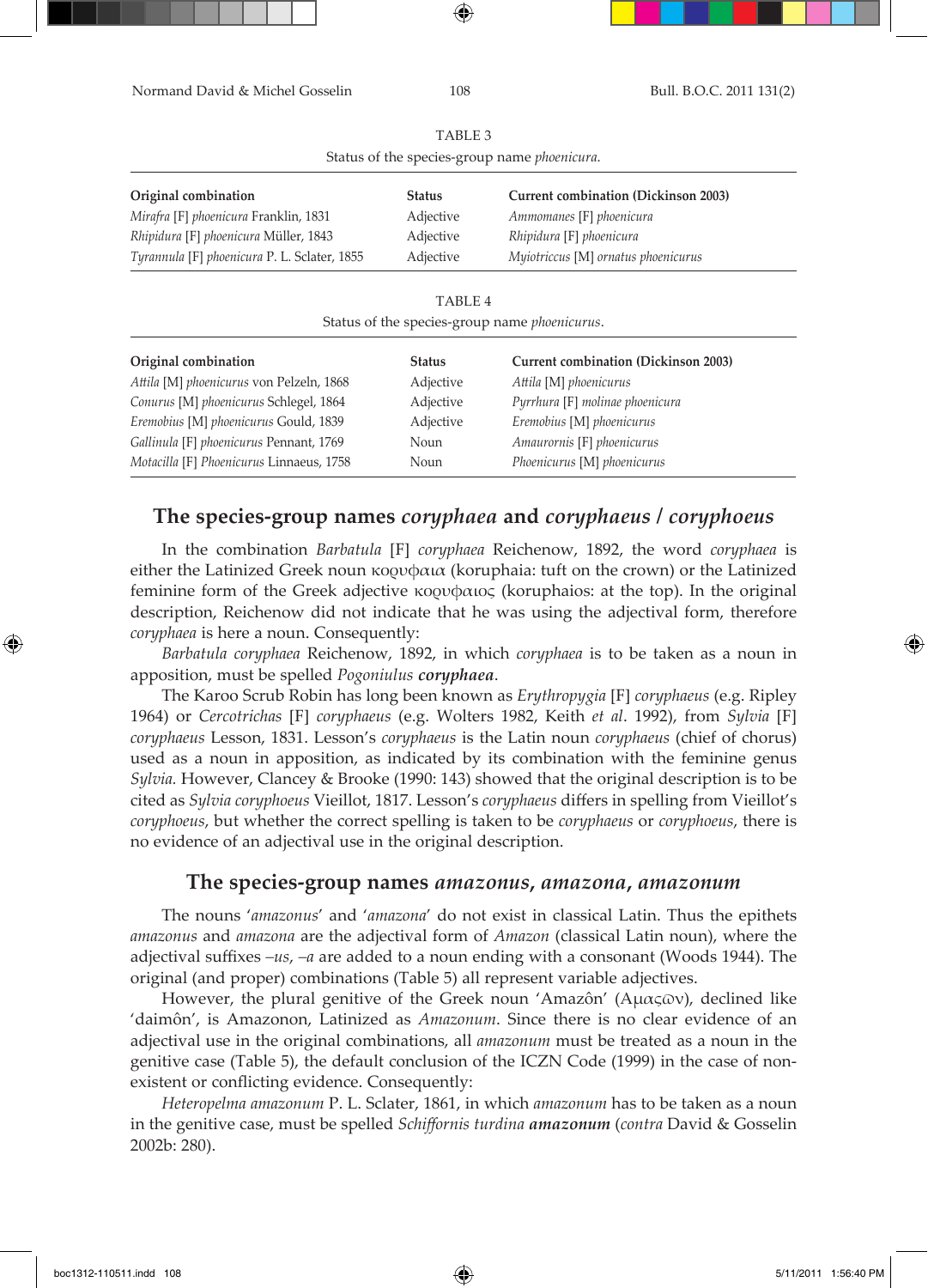| Normand David & Michel Gosselin              | 108                | Bull. B.O.C. 2011 131(2)                              |
|----------------------------------------------|--------------------|-------------------------------------------------------|
|                                              | TABLE <sub>3</sub> |                                                       |
|                                              |                    | Status of the species-group name phoenicura.          |
| Original combination                         | <b>Status</b>      | <b>Current combination (Dickinson 2003)</b>           |
| Mirafra [F] phoenicura Franklin, 1831        | Adjective          | Ammomanes [F] phoenicura                              |
| Rhipidura [F] phoenicura Müller, 1843        | Adjective          | Rhipidura [F] phoenicura                              |
| Tyrannula [F] phoenicura P. L. Sclater, 1855 | Adjective          | Myiotriccus [M] ornatus phoenicurus                   |
|                                              | TABLE 4            |                                                       |
|                                              |                    | Status of the species-group name <i>phoenicurus</i> . |
| Original combination                         | <b>Status</b>      | <b>Current combination (Dickinson 2003)</b>           |
| Attila [M] phoenicurus von Pelzeln, 1868     | Adjective          | Attila [M] phoenicurus                                |
| Conurus [M] phoenicurus Schlegel, 1864       | Adjective          | Pyrrhura [F] molinae phoenicura                       |
| Eremobius [M] phoenicurus Gould, 1839        | Adjective          | Eremobius [M] phoenicurus                             |
| Gallinula [F] phoenicurus Pennant, 1769      | Noun               | Amaurornis [F] phoenicurus                            |
| Motacilla [F] Phoenicurus Linnaeus, 1758     | Noun               | Phoenicurus [M] phoenicurus                           |

# **The species-group names** *coryphaea* **and** *coryphaeus* **/** *coryphoeus*

In the combination *Barbatula* [F] *coryphaea* Reichenow, 1892, the word *coryphaea* is either the Latinized Greek noun κορυφαια (koruphaia: tuft on the crown) or the Latinized feminine form of the Greek adjective κορυφαιος (koruphaios: at the top). In the original description, Reichenow did not indicate that he was using the adjectival form, therefore *coryphaea* is here a noun. Consequently:

*Barbatula coryphaea* Reichenow, 1892, in which *coryphaea* is to be taken as a noun in apposition, must be spelled *Pogoniulus coryphaea*.

The Karoo Scrub Robin has long been known as *Erythropygia* [F] *coryphaeus* (e.g. Ripley 1964) or *Cercotrichas* [F] *coryphaeus* (e.g. Wolters 1982, Keith *et al*. 1992), from *Sylvia* [F] *coryphaeus* Lesson, 1831. Lesson's *coryphaeus* is the Latin noun *coryphaeus* (chief of chorus) used as a noun in apposition, as indicated by its combination with the feminine genus *Sylvia.* However, Clancey & Brooke (1990: 143) showed that the original description is to be cited as *Sylvia coryphoeus* Vieillot, 1817. Lesson's *coryphaeus* differs in spelling from Vieillot's *coryphoeus*, but whether the correct spelling is taken to be *coryphaeus* or *coryphoeus*, there is no evidence of an adjectival use in the original description.

### **The species-group names** *amazonus***,** *amazona***,** *amazonum*

The nouns '*amazonus*' and '*amazona*' do not exist in classical Latin. Thus the epithets *amazonus* and *amazona* are the adjectival form of *Amazon* (classical Latin noun), where the adjectival suffixes *–us*, *–a* are added to a noun ending with a consonant (Woods 1944). The original (and proper) combinations (Table 5) all represent variable adjectives.

However, the plural genitive of the Greek noun 'Amazôn' (Αμαςων), declined like 'daimôn', is Amazonon, Latinized as *Amazonum*. Since there is no clear evidence of an adjectival use in the original combinations, all *amazonum* must be treated as a noun in the genitive case (Table 5), the default conclusion of the ICZN Code (1999) in the case of nonexistent or conflicting evidence. Consequently:

*Heteropelma amazonum* P. L. Sclater, 1861, in which *amazonum* has to be taken as a noun in the genitive case, must be spelled *Schiffornis turdina amazonum* (*contra* David & Gosselin 2002b: 280).

⊕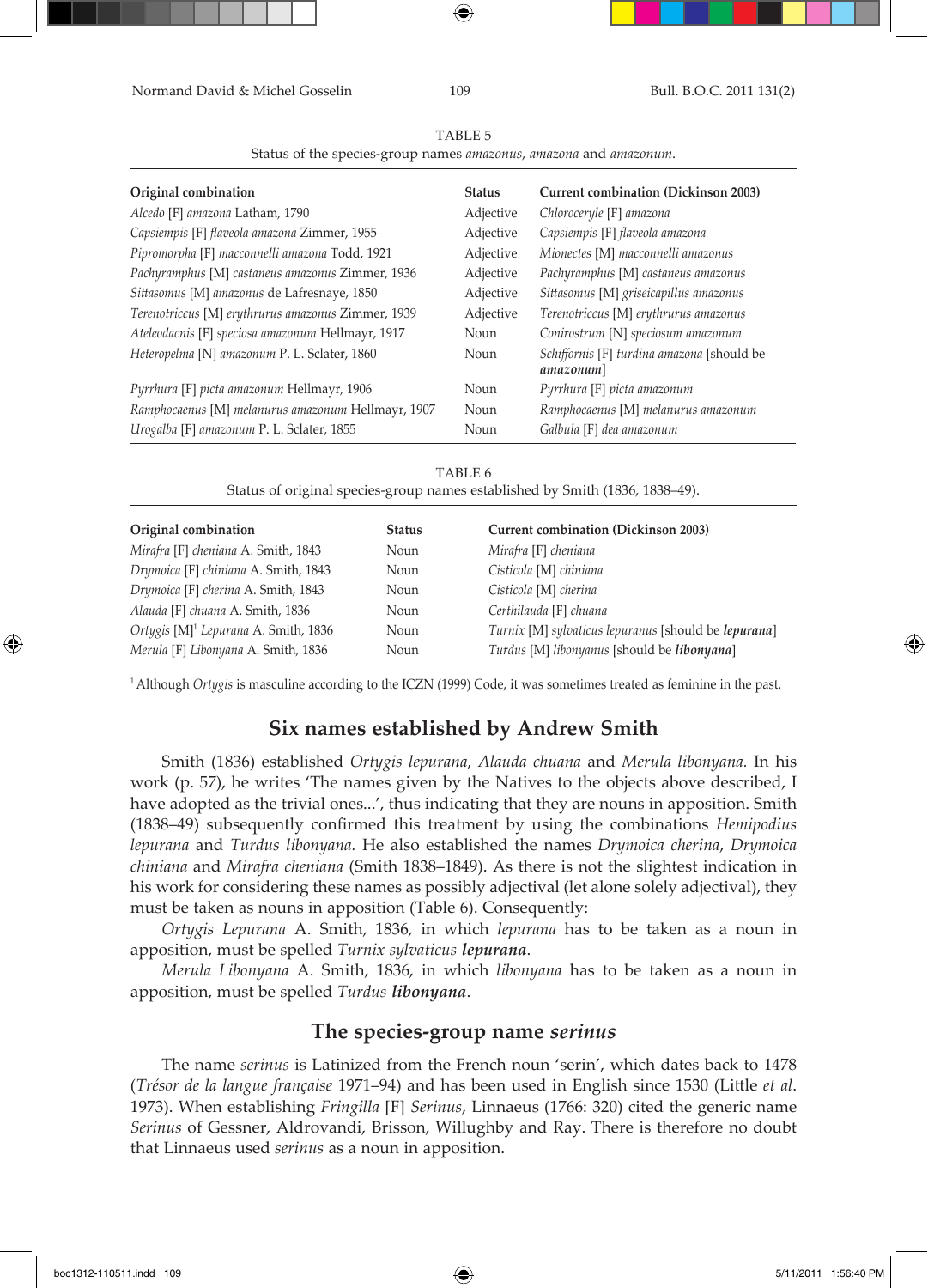Normand David & Michel Gosselin 109 Bull. B.O.C. 2011 131(2)

⊕

|--|--|

Status of the species-group names *amazonus*, *amazona* and *amazonum*.

| Original combination                               | <b>Status</b> | <b>Current combination (Dickinson 2003)</b>             |
|----------------------------------------------------|---------------|---------------------------------------------------------|
| Alcedo [F] amazona Latham, 1790                    | Adjective     | Chloroceryle [F] amazona                                |
| Capsiempis [F] flaveola amazona Zimmer, 1955       | Adjective     | Capsiempis [F] flaveola amazona                         |
| Pipromorpha [F] macconnelli amazona Todd, 1921     | Adjective     | Mionectes [M] macconnelli amazonus                      |
| Pachyramphus [M] castaneus amazonus Zimmer, 1936   | Adjective     | Pachyramphus [M] castaneus amazonus                     |
| Sittasomus [M] amazonus de Lafresnaye, 1850        | Adjective     | Sittasomus [M] griseicapillus amazonus                  |
| Terenotriccus [M] erythrurus amazonus Zimmer, 1939 | Adjective     | Terenotriccus [M] erythrurus amazonus                   |
| Ateleodacnis [F] speciosa amazonum Hellmayr, 1917  | Noun          | Conirostrum [N] speciosum amazonum                      |
| Heteropelma [N] amazonum P. L. Sclater, 1860       | Noun          | Schiffornis [F] turdina amazona [should be<br>amazonum] |
| Pyrrhura [F] picta amazonum Hellmayr, 1906         | Noun          | Pyrrhura [F] picta amazonum                             |
| Ramphocaenus [M] melanurus amazonum Hellmayr, 1907 | Noun          | Ramphocaenus [M] melanurus amazonum                     |
| Urogalba [F] amazonum P. L. Sclater, 1855          | Noun          | Galbula [F] dea amazonum                                |

#### TABLE 6

Status of original species-group names established by Smith (1836, 1838–49).

| Original combination                             | <b>Status</b> | <b>Current combination (Dickinson 2003)</b>          |
|--------------------------------------------------|---------------|------------------------------------------------------|
| Mirafra [F] cheniana A. Smith, 1843              | Noun          | Mirafra [F] cheniana                                 |
| Drymoica [F] chiniana A. Smith, 1843             | Noun          | Cisticola [M] chiniana                               |
| Drymoica [F] cherina A. Smith, 1843              | Noun          | Cisticola [M] cherina                                |
| Alauda [F] chuana A. Smith, 1836                 | Noun          | Certhilauda [F] chuana                               |
| Ortygis [M] <sup>1</sup> Lepurana A. Smith, 1836 | Noun          | Turnix [M] sylvaticus lepuranus [should be lepurana] |
| Merula [F] Libonyana A. Smith, 1836              | Noun          | Turdus [M] libonyanus [should be libonyana]          |

1 Although *Ortygis* is masculine according to the ICZN (1999) Code, it was sometimes treated as feminine in the past.

# **Six names established by Andrew Smith**

Smith (1836) established *Ortygis lepurana*, *Alauda chuana* and *Merula libonyana.* In his work (p. 57), he writes 'The names given by the Natives to the objects above described, I have adopted as the trivial ones...', thus indicating that they are nouns in apposition. Smith (1838–49) subsequently confirmed this treatment by using the combinations *Hemipodius lepurana* and *Turdus libonyana.* He also established the names *Drymoica cherina*, *Drymoica chiniana* and *Mirafra cheniana* (Smith 1838–1849). As there is not the slightest indication in his work for considering these names as possibly adjectival (let alone solely adjectival), they must be taken as nouns in apposition (Table 6). Consequently:

*Ortygis Lepurana* A. Smith, 1836, in which *lepurana* has to be taken as a noun in apposition, must be spelled *Turnix sylvaticus lepurana*.

*Merula Libonyana* A. Smith, 1836, in which *libonyana* has to be taken as a noun in apposition, must be spelled *Turdus libonyana*.

# **The species-group name** *serinus*

The name *serinus* is Latinized from the French noun 'serin', which dates back to 1478 (*Trésor de la langue française* 1971–94) and has been used in English since 1530 (Little *et al*. 1973). When establishing *Fringilla* [F] *Serinus*, Linnaeus (1766: 320) cited the generic name *Serinus* of Gessner, Aldrovandi, Brisson, Willughby and Ray. There is therefore no doubt that Linnaeus used *serinus* as a noun in apposition.

↔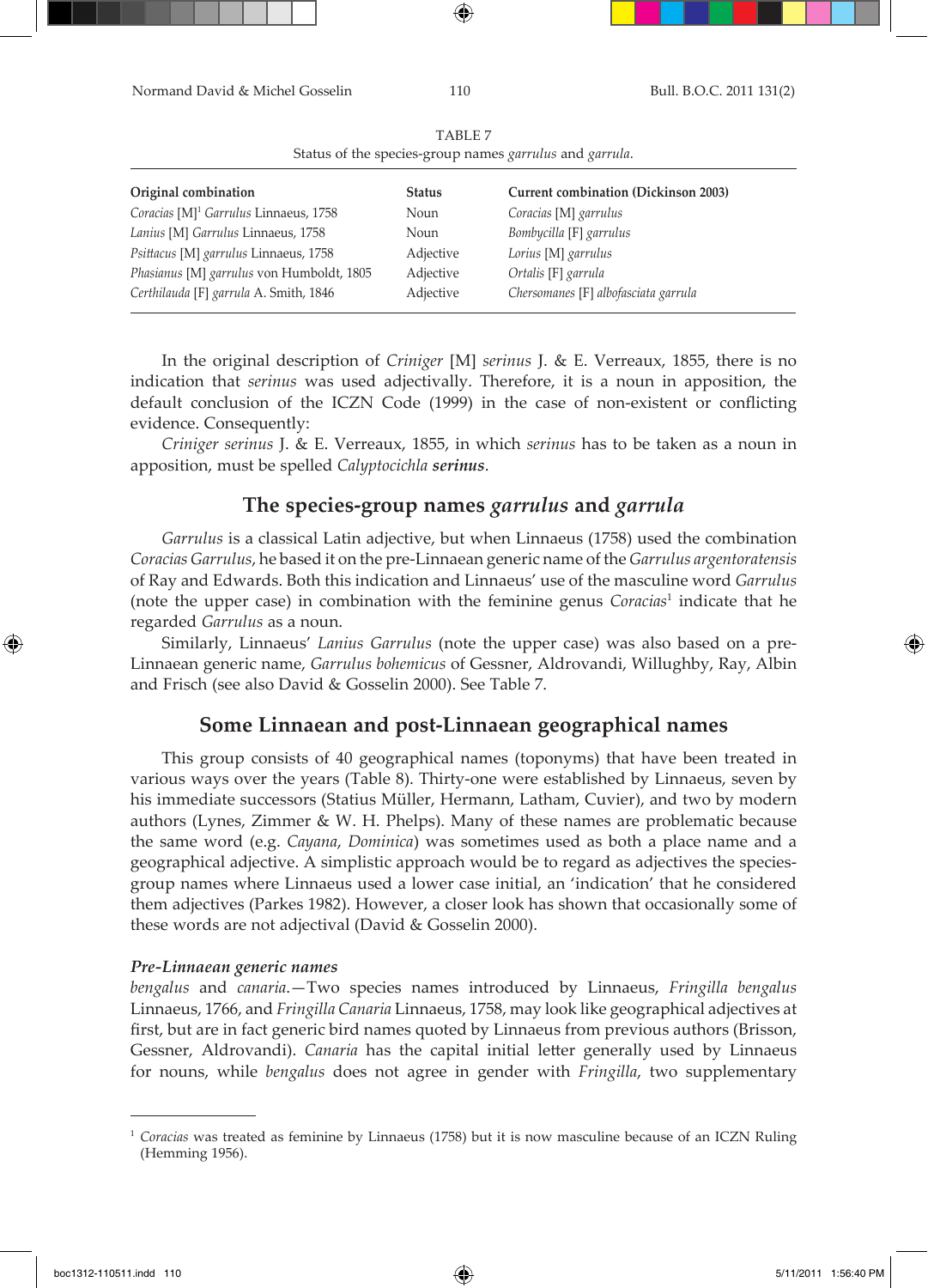Normand David & Michel Gosselin 110 Bull. B.O.C. 2011 131(2) TABLE 7 Status of the species-group names *garrulus* and *garrula*.

| Original combination                              | <b>Status</b> | <b>Current combination (Dickinson 2003)</b> |
|---------------------------------------------------|---------------|---------------------------------------------|
| Coracias [M] <sup>1</sup> Garrulus Linnaeus, 1758 | Noun          | Coracias [M] garrulus                       |
| Lanius [M] Garrulus Linnaeus, 1758                | Noun          | Bombycilla [F] garrulus                     |
| Psittacus [M] garrulus Linnaeus, 1758             | Adjective     | Lorius [M] garrulus                         |
| Phasianus [M] garrulus von Humboldt, 1805         | Adjective     | Ortalis [F] garrula                         |
| Certhilauda [F] garrula A. Smith, 1846            | Adjective     | Chersomanes [F] albofasciata garrula        |

⊕

In the original description of *Criniger* [M] *serinus* J. & E. Verreaux, 1855, there is no indication that *serinus* was used adjectivally. Therefore, it is a noun in apposition, the default conclusion of the ICZN Code (1999) in the case of non-existent or conflicting evidence. Consequently:

*Criniger serinus* J. & E. Verreaux, 1855, in which *serinus* has to be taken as a noun in apposition, must be spelled *Calyptocichla serinus*.

### **The species-group names** *garrulus* **and** *garrula*

*Garrulus* is a classical Latin adjective, but when Linnaeus (1758) used the combination *Coracias Garrulus*, he based it on the pre-Linnaean generic name of the *Garrulus argentoratensis* of Ray and Edwards. Both this indication and Linnaeus' use of the masculine word *Garrulus* (note the upper case) in combination with the feminine genus *Coracias*<sup>1</sup> indicate that he regarded *Garrulus* as a noun.

Similarly, Linnaeus' *Lanius Garrulus* (note the upper case) was also based on a pre-Linnaean generic name, *Garrulus bohemicus* of Gessner, Aldrovandi, Willughby, Ray, Albin and Frisch (see also David & Gosselin 2000). See Table 7.

### **Some Linnaean and post-Linnaean geographical names**

This group consists of 40 geographical names (toponyms) that have been treated in various ways over the years (Table 8). Thirty-one were established by Linnaeus, seven by his immediate successors (Statius Müller, Hermann, Latham, Cuvier), and two by modern authors (Lynes, Zimmer & W. H. Phelps). Many of these names are problematic because the same word (e.g. *Cayana*, *Dominica*) was sometimes used as both a place name and a geographical adjective. A simplistic approach would be to regard as adjectives the speciesgroup names where Linnaeus used a lower case initial, an 'indication' that he considered them adjectives (Parkes 1982). However, a closer look has shown that occasionally some of these words are not adjectival (David & Gosselin 2000).

### *Pre-Linnaean generic names*

*bengalus* and *canaria*.—Two species names introduced by Linnaeus, *Fringilla bengalus* Linnaeus, 1766, and *Fringilla Canaria* Linnaeus, 1758, may look like geographical adjectives at first, but are in fact generic bird names quoted by Linnaeus from previous authors (Brisson, Gessner, Aldrovandi). *Canaria* has the capital initial letter generally used by Linnaeus for nouns, while *bengalus* does not agree in gender with *Fringilla*, two supplementary

boc1312-110511.indd 110 5/11/2011 1:56:40 PM

<sup>1</sup> *Coracias* was treated as feminine by Linnaeus (1758) but it is now masculine because of an ICZN Ruling (Hemming 1956).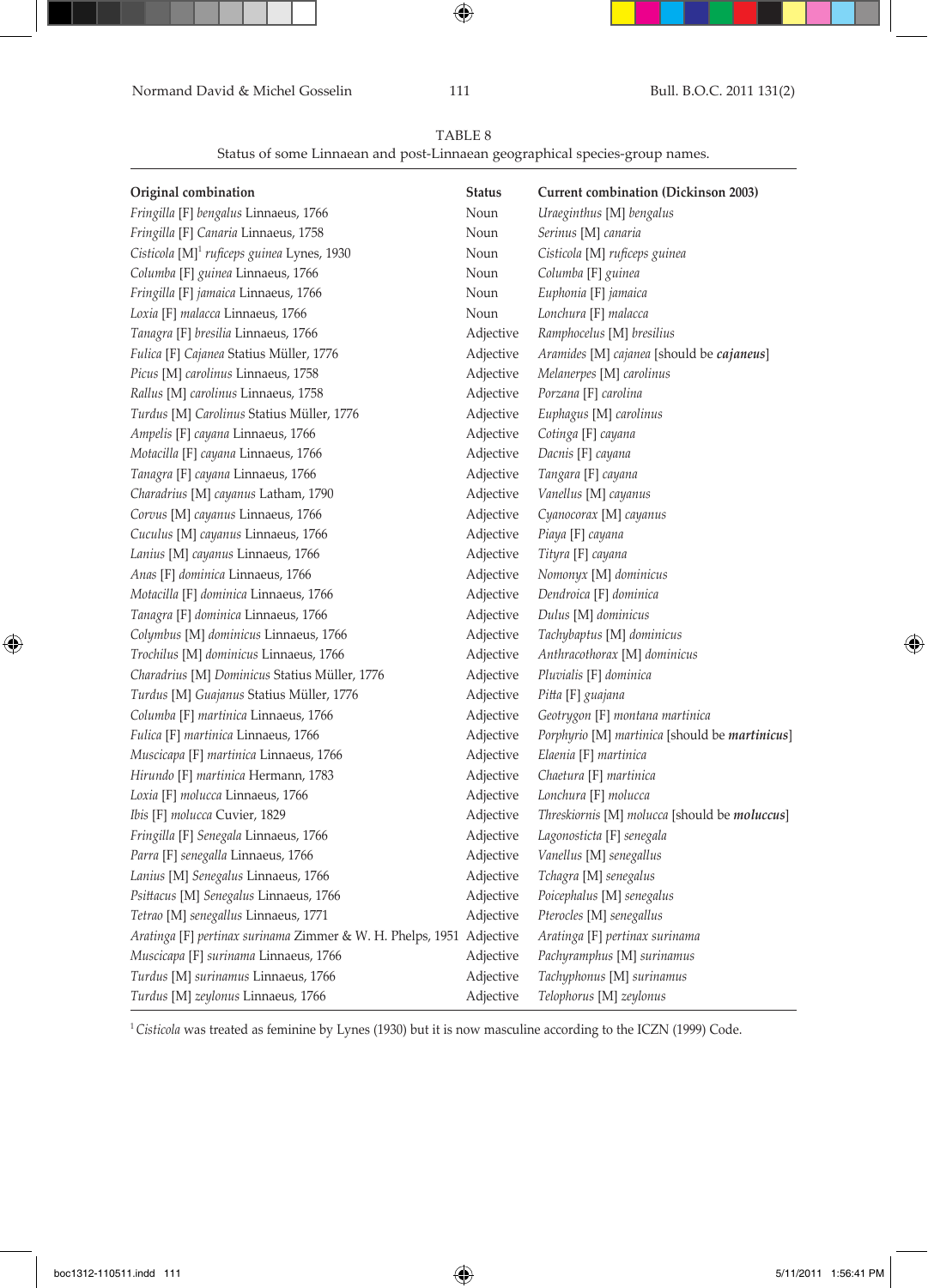Normand David & Michel Gosselin 111 Bull. B.O.C. 2011 131(2)

 $\bigoplus$ 

TABLE 8

Status of some Linnaean and post-Linnaean geographical species-group names.

| Original combination                                                 | <b>Status</b> | <b>Current combination (Dickinson 2003)</b>    |
|----------------------------------------------------------------------|---------------|------------------------------------------------|
| Fringilla [F] bengalus Linnaeus, 1766                                | Noun          | Uraeginthus [M] bengalus                       |
| Fringilla [F] Canaria Linnaeus, 1758                                 | Noun          | Serinus [M] canaria                            |
| Cisticola [M] <sup>1</sup> ruficeps guinea Lynes, 1930               | Noun          | Cisticola [M] ruficeps guinea                  |
| Columba [F] guinea Linnaeus, 1766                                    | Noun          | Columba [F] guinea                             |
| Fringilla [F] jamaica Linnaeus, 1766                                 | Noun          | Euphonia [F] jamaica                           |
| Loxia [F] malacca Linnaeus, 1766                                     | Noun          | Lonchura [F] malacca                           |
| Tanagra [F] bresilia Linnaeus, 1766                                  | Adjective     | Ramphocelus [M] bresilius                      |
| Fulica [F] Cajanea Statius Müller, 1776                              | Adjective     | Aramides [M] cajanea [should be cajaneus]      |
| Picus [M] carolinus Linnaeus, 1758                                   | Adjective     | Melanerpes [M] carolinus                       |
| Rallus [M] carolinus Linnaeus, 1758                                  | Adjective     | Porzana [F] carolina                           |
| Turdus [M] Carolinus Statius Müller, 1776                            | Adjective     | Euphagus [M] carolinus                         |
| Ampelis [F] cayana Linnaeus, 1766                                    | Adjective     | Cotinga [F] cayana                             |
| Motacilla [F] cayana Linnaeus, 1766                                  | Adjective     | Dacnis [F] cayana                              |
| Tanagra [F] cayana Linnaeus, 1766                                    | Adjective     | Tangara [F] cayana                             |
| Charadrius [M] cayanus Latham, 1790                                  | Adjective     | Vanellus [M] cayanus                           |
| Corvus [M] cayanus Linnaeus, 1766                                    | Adjective     | Cyanocorax [M] cayanus                         |
| Cuculus [M] cayanus Linnaeus, 1766                                   | Adjective     | Piaya [F] cayana                               |
| Lanius [M] cayanus Linnaeus, 1766                                    | Adjective     | Tityra [F] cayana                              |
| Anas [F] dominica Linnaeus, 1766                                     | Adjective     | Nomonyx [M] dominicus                          |
| Motacilla [F] dominica Linnaeus, 1766                                | Adjective     | Dendroica [F] dominica                         |
| Tanagra [F] dominica Linnaeus, 1766                                  | Adjective     | Dulus [M] dominicus                            |
| Colymbus [M] dominicus Linnaeus, 1766                                | Adjective     | Tachybaptus [M] dominicus                      |
| Trochilus [M] dominicus Linnaeus, 1766                               | Adjective     | Anthracothorax [M] dominicus                   |
| Charadrius [M] Dominicus Statius Müller, 1776                        | Adjective     | Pluvialis [F] dominica                         |
| Turdus [M] Guajanus Statius Müller, 1776                             | Adjective     | Pitta [F] guajana                              |
| Columba [F] martinica Linnaeus, 1766                                 | Adjective     | Geotrygon [F] montana martinica                |
| Fulica [F] martinica Linnaeus, 1766                                  | Adjective     | Porphyrio [M] martinica [should be martinicus] |
| Muscicapa [F] martinica Linnaeus, 1766                               | Adjective     | Elaenia [F] martinica                          |
| Hirundo [F] martinica Hermann, 1783                                  | Adjective     | Chaetura [F] martinica                         |
| Loxia [F] molucca Linnaeus, 1766                                     | Adjective     | Lonchura [F] molucca                           |
| Ibis [F] molucca Cuvier, 1829                                        | Adjective     | Threskiornis [M] molucca [should be moluccus]  |
| Fringilla [F] Senegala Linnaeus, 1766                                | Adjective     | Lagonosticta [F] senegala                      |
| Parra [F] senegalla Linnaeus, 1766                                   | Adjective     | Vanellus [M] senegallus                        |
| Lanius [M] Senegalus Linnaeus, 1766                                  | Adjective     | Tchagra [M] senegalus                          |
| Psittacus [M] Senegalus Linnaeus, 1766                               | Adjective     | Poicephalus [M] senegalus                      |
| Tetrao [M] senegallus Linnaeus, 1771                                 | Adjective     | Pterocles [M] senegallus                       |
| Aratinga [F] pertinax surinama Zimmer & W. H. Phelps, 1951 Adjective |               | Aratinga [F] pertinax surinama                 |
| Muscicapa [F] surinama Linnaeus, 1766                                | Adjective     | Pachyramphus [M] surinamus                     |
| Turdus [M] surinamus Linnaeus, 1766                                  | Adjective     | Tachyphonus [M] surinamus                      |
| Turdus [M] zeylonus Linnaeus, 1766                                   | Adjective     | Telophorus [M] zeylonus                        |

<sup>1</sup>*Cisticola* was treated as feminine by Lynes (1930) but it is now masculine according to the ICZN (1999) Code.

 $\bigoplus$ 

 $\bigoplus$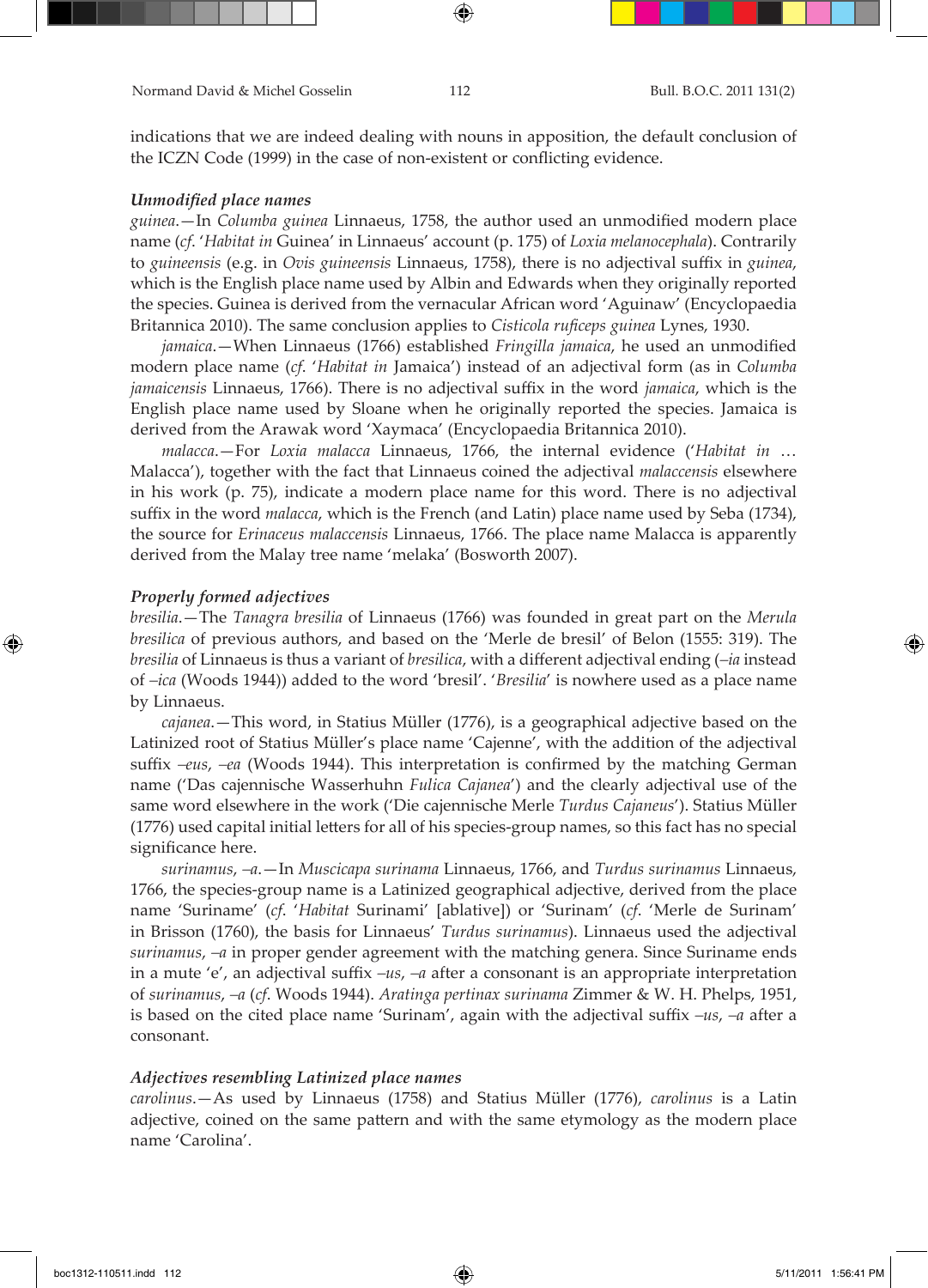indications that we are indeed dealing with nouns in apposition, the default conclusion of the ICZN Code (1999) in the case of non-existent or conflicting evidence.

### *Unmodified place names*

*guinea*.—In *Columba guinea* Linnaeus, 1758, the author used an unmodified modern place name (*cf*. '*Habitat in* Guinea' in Linnaeus' account (p. 175) of *Loxia melanocephala*). Contrarily to *guineensis* (e.g. in *Ovis guineensis* Linnaeus, 1758), there is no adjectival suffix in *guinea*, which is the English place name used by Albin and Edwards when they originally reported the species. Guinea is derived from the vernacular African word 'Aguinaw' (Encyclopaedia Britannica 2010). The same conclusion applies to *Cisticola ruficeps guinea* Lynes, 1930.

*jamaica*.—When Linnaeus (1766) established *Fringilla jamaica*, he used an unmodified modern place name (*cf*. '*Habitat in* Jamaica') instead of an adjectival form (as in *Columba jamaicensis* Linnaeus, 1766). There is no adjectival suffix in the word *jamaica*, which is the English place name used by Sloane when he originally reported the species. Jamaica is derived from the Arawak word 'Xaymaca' (Encyclopaedia Britannica 2010).

*malacca*.—For *Loxia malacca* Linnaeus, 1766, the internal evidence ('*Habitat in* … Malacca'), together with the fact that Linnaeus coined the adjectival *malaccensis* elsewhere in his work (p. 75), indicate a modern place name for this word. There is no adjectival suffix in the word *malacca*, which is the French (and Latin) place name used by Seba (1734), the source for *Erinaceus malaccensis* Linnaeus, 1766. The place name Malacca is apparently derived from the Malay tree name 'melaka' (Bosworth 2007).

### *Properly formed adjectives*

↔

*bresilia*.—The *Tanagra bresilia* of Linnaeus (1766) was founded in great part on the *Merula bresilica* of previous authors, and based on the 'Merle de bresil' of Belon (1555: 319). The *bresilia* of Linnaeus is thus a variant of *bresilica*, with a different adjectival ending (*–ia* instead of *–ica* (Woods 1944)) added to the word 'bresil'. '*Bresilia*' is nowhere used as a place name by Linnaeus.

*cajanea*.—This word, in Statius Müller (1776), is a geographical adjective based on the Latinized root of Statius Müller's place name 'Cajenne', with the addition of the adjectival suffix *–eus*, *–ea* (Woods 1944). This interpretation is confirmed by the matching German name ('Das cajennische Wasserhuhn *Fulica Cajanea*') and the clearly adjectival use of the same word elsewhere in the work ('Die cajennische Merle *Turdus Cajaneus*'). Statius Müller (1776) used capital initial letters for all of his species-group names, so this fact has no special significance here.

*surinamus*, *–a*.—In *Muscicapa surinama* Linnaeus, 1766, and *Turdus surinamus* Linnaeus, 1766, the species-group name is a Latinized geographical adjective, derived from the place name 'Suriname' (*cf*. '*Habitat* Surinami' [ablative]) or 'Surinam' (*cf*. 'Merle de Surinam' in Brisson (1760), the basis for Linnaeus' *Turdus surinamus*). Linnaeus used the adjectival *surinamus*, *–a* in proper gender agreement with the matching genera. Since Suriname ends in a mute 'e', an adjectival suffix *–us*, *–a* after a consonant is an appropriate interpretation of *surinamus*, *–a* (*cf*. Woods 1944). *Aratinga pertinax surinama* Zimmer & W. H. Phelps, 1951, is based on the cited place name 'Surinam', again with the adjectival suffix *–us*, *–a* after a consonant.

#### *Adjectives resembling Latinized place names*

*carolinus*.—As used by Linnaeus (1758) and Statius Müller (1776), *carolinus* is a Latin adjective, coined on the same pattern and with the same etymology as the modern place name 'Carolina'.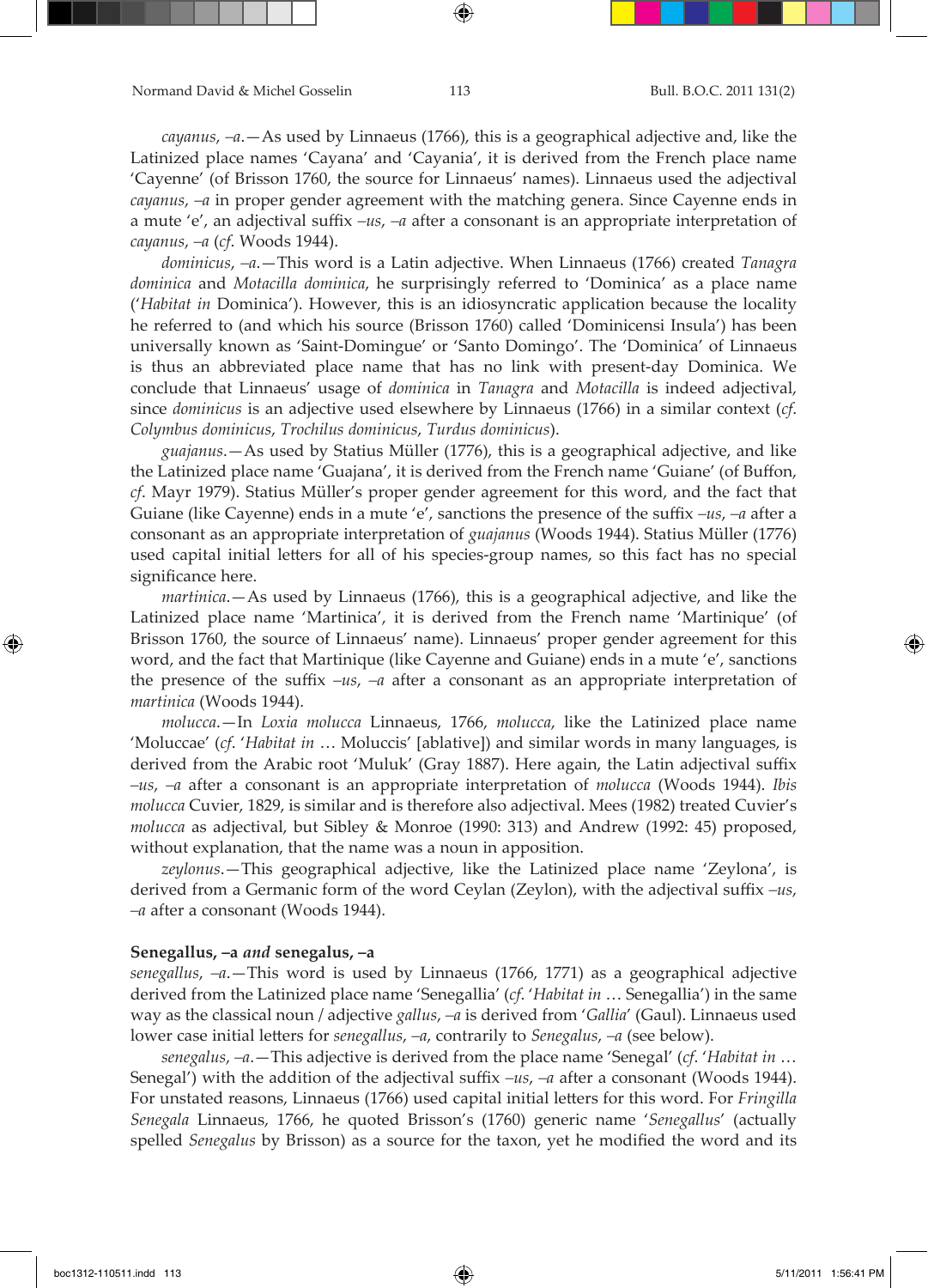*cayanus*, *–a*.—As used by Linnaeus (1766), this is a geographical adjective and, like the Latinized place names 'Cayana' and 'Cayania', it is derived from the French place name 'Cayenne' (of Brisson 1760, the source for Linnaeus' names). Linnaeus used the adjectival *cayanus*, *–a* in proper gender agreement with the matching genera. Since Cayenne ends in a mute 'e', an adjectival suffix *–us*, *–a* after a consonant is an appropriate interpretation of *cayanus*, *–a* (*cf*. Woods 1944).

*dominicus*, *–a*.—This word is a Latin adjective. When Linnaeus (1766) created *Tanagra dominica* and *Motacilla dominica*, he surprisingly referred to 'Dominica' as a place name ('*Habitat in* Dominica'). However, this is an idiosyncratic application because the locality he referred to (and which his source (Brisson 1760) called 'Dominicensi Insula') has been universally known as 'Saint-Domingue' or 'Santo Domingo'. The 'Dominica' of Linnaeus is thus an abbreviated place name that has no link with present-day Dominica. We conclude that Linnaeus' usage of *dominica* in *Tanagra* and *Motacilla* is indeed adjectival, since *dominicus* is an adjective used elsewhere by Linnaeus (1766) in a similar context (*cf*. *Colymbus dominicus*, *Trochilus dominicus*, *Turdus dominicus*).

*guajanus*.—As used by Statius Müller (1776), this is a geographical adjective, and like the Latinized place name 'Guajana', it is derived from the French name 'Guiane' (of Buffon, *cf*. Mayr 1979). Statius Müller's proper gender agreement for this word, and the fact that Guiane (like Cayenne) ends in a mute 'e', sanctions the presence of the suffix *–us*, *–a* after a consonant as an appropriate interpretation of *guajanus* (Woods 1944). Statius Müller (1776) used capital initial letters for all of his species-group names, so this fact has no special significance here.

*martinica*.—As used by Linnaeus (1766), this is a geographical adjective, and like the Latinized place name 'Martinica', it is derived from the French name 'Martinique' (of Brisson 1760, the source of Linnaeus' name). Linnaeus' proper gender agreement for this word, and the fact that Martinique (like Cayenne and Guiane) ends in a mute 'e', sanctions the presence of the suffix *–us*, *–a* after a consonant as an appropriate interpretation of *martinica* (Woods 1944).

*molucca*.—In *Loxia molucca* Linnaeus, 1766, *molucca*, like the Latinized place name 'Moluccae' (*cf*. '*Habitat in* … Moluccis' [ablative]) and similar words in many languages, is derived from the Arabic root 'Muluk' (Gray 1887). Here again, the Latin adjectival suffix *–us*, *–a* after a consonant is an appropriate interpretation of *molucca* (Woods 1944). *Ibis molucca* Cuvier, 1829, is similar and is therefore also adjectival. Mees (1982) treated Cuvier's *molucca* as adjectival, but Sibley & Monroe (1990: 313) and Andrew (1992: 45) proposed, without explanation, that the name was a noun in apposition.

*zeylonus*.—This geographical adjective, like the Latinized place name 'Zeylona', is derived from a Germanic form of the word Ceylan (Zeylon), with the adjectival suffix *–us*, *–a* after a consonant (Woods 1944).

#### **Senegallus, –a** *and* **senegalus, –a**

*senegallus*, *–a*.—This word is used by Linnaeus (1766, 1771) as a geographical adjective derived from the Latinized place name 'Senegallia' (*cf*. '*Habitat in* … Senegallia') in the same way as the classical noun / adjective *gallus*, *–a* is derived from '*Gallia*' (Gaul). Linnaeus used lower case initial letters for *senegallus*, *–a*, contrarily to *Senegalus*, *–a* (see below).

*senegalus*, *–a*.—This adjective is derived from the place name 'Senegal' (*cf*. '*Habitat in* … Senegal') with the addition of the adjectival suffix *–us*, *–a* after a consonant (Woods 1944). For unstated reasons, Linnaeus (1766) used capital initial letters for this word. For *Fringilla Senegala* Linnaeus, 1766, he quoted Brisson's (1760) generic name '*Senegallus*' (actually spelled *Senegalus* by Brisson) as a source for the taxon, yet he modified the word and its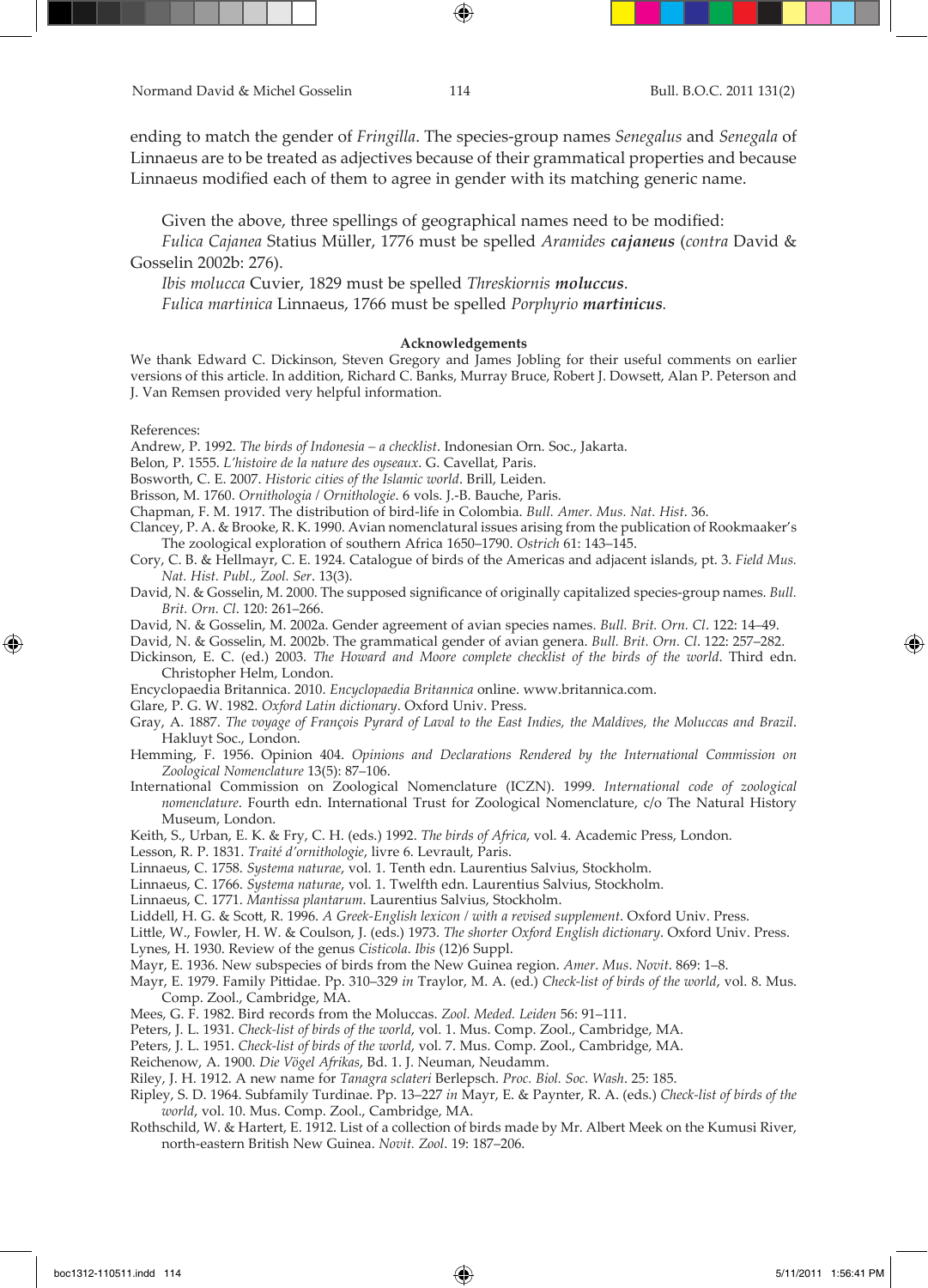ending to match the gender of *Fringilla*. The species-group names *Senegalus* and *Senegala* of Linnaeus are to be treated as adjectives because of their grammatical properties and because Linnaeus modified each of them to agree in gender with its matching generic name.

Given the above, three spellings of geographical names need to be modified:

*Fulica Cajanea* Statius Müller, 1776 must be spelled *Aramides cajaneus* (*contra* David & Gosselin 2002b: 276).

*Ibis molucca* Cuvier, 1829 must be spelled *Threskiornis moluccus*. *Fulica martinica* Linnaeus, 1766 must be spelled *Porphyrio martinicus.*

#### **Acknowledgements**

We thank Edward C. Dickinson, Steven Gregory and James Jobling for their useful comments on earlier versions of this article. In addition, Richard C. Banks, Murray Bruce, Robert J. Dowsett, Alan P. Peterson and J. Van Remsen provided very helpful information.

#### References:

⊕

Andrew, P. 1992. *The birds of Indonesia – a checklist*. Indonesian Orn. Soc., Jakarta.

Belon, P. 1555. *L'histoire de la nature des oyseaux*. G. Cavellat, Paris.

Bosworth, C. E. 2007. *Historic cities of the Islamic world*. Brill, Leiden.

Brisson, M. 1760. *Ornithologia / Ornithologie*. 6 vols. J.-B. Bauche, Paris.

Chapman, F. M. 1917. The distribution of bird-life in Colombia. *Bull. Amer. Mus. Nat. Hist*. 36.

Clancey, P. A. & Brooke, R. K. 1990. Avian nomenclatural issues arising from the publication of Rookmaaker's The zoological exploration of southern Africa 1650–1790. *Ostrich* 61: 143–145.

Cory, C. B. & Hellmayr, C. E. 1924. Catalogue of birds of the Americas and adjacent islands, pt. 3. *Field Mus. Nat. Hist. Publ., Zool. Ser*. 13(3).

David, N. & Gosselin, M. 2000. The supposed significance of originally capitalized species-group names. *Bull. Brit. Orn. Cl*. 120: 261–266.

David, N. & Gosselin, M. 2002a. Gender agreement of avian species names. *Bull. Brit. Orn. Cl*. 122: 14–49.

David, N. & Gosselin, M. 2002b. The grammatical gender of avian genera. *Bull. Brit. Orn. Cl*. 122: 257–282.

Dickinson, E. C. (ed.) 2003. *The Howard and Moore complete checklist of the birds of the world*. Third edn. Christopher Helm, London.

Encyclopaedia Britannica. 2010. *Encyclopaedia Britannica* online. www.britannica.com.

Glare, P. G. W. 1982. *Oxford Latin dictionary*. Oxford Univ. Press.

Gray, A. 1887. *The voyage of François Pyrard of Laval to the East Indies, the Maldives, the Moluccas and Brazil*. Hakluyt Soc., London.

Hemming, F. 1956. Opinion 404. *Opinions and Declarations Rendered by the International Commission on Zoological Nomenclature* 13(5): 87–106.

International Commission on Zoological Nomenclature (ICZN). 1999. *International code of zoological nomenclature*. Fourth edn. International Trust for Zoological Nomenclature, c/o The Natural History Museum, London.

Keith, S., Urban, E. K. & Fry, C. H. (eds.) 1992. *The birds of Africa*, vol. 4. Academic Press, London.

Lesson, R. P. 1831. *Traité d'ornithologie*, livre 6. Levrault, Paris.

Linnaeus, C. 1758. *Systema naturae*, vol. 1. Tenth edn. Laurentius Salvius, Stockholm.

Linnaeus, C. 1766. *Systema naturae*, vol. 1. Twelfth edn. Laurentius Salvius, Stockholm.

Linnaeus, C. 1771. *Mantissa plantarum*. Laurentius Salvius, Stockholm.

Liddell, H. G. & Scott, R. 1996. *A Greek-English lexicon / with a revised supplement*. Oxford Univ. Press.

Little, W., Fowler, H. W. & Coulson, J. (eds.) 1973. *The shorter Oxford English dictionary*. Oxford Univ. Press.

Lynes, H. 1930. Review of the genus *Cisticola*. *Ibis* (12)6 Suppl.

Mayr, E. 1936. New subspecies of birds from the New Guinea region. *Amer*. *Mus*. *Novit*. 869: 1–8.

Mayr, E. 1979. Family Pittidae. Pp. 310–329 *in* Traylor, M. A. (ed.) *Check-list of birds of the world*, vol. 8. Mus. Comp. Zool., Cambridge, MA.

Mees, G. F. 1982. Bird records from the Moluccas. *Zool. Meded. Leiden* 56: 91–111.

Peters, J. L. 1931. *Check-list of birds of the world*, vol. 1. Mus. Comp. Zool., Cambridge, MA.

Peters, J. L. 1951. *Check-list of birds of the world*, vol. 7. Mus. Comp. Zool., Cambridge, MA.

Reichenow, A. 1900. *Die Vögel Afrikas*, Bd. 1. J. Neuman, Neudamm.

Riley, J. H. 1912. A new name for *Tanagra sclateri* Berlepsch. *Proc. Biol. Soc. Wash*. 25: 185.

Ripley, S. D. 1964. Subfamily Turdinae. Pp. 13–227 *in* Mayr, E. & Paynter, R. A. (eds.) *Check-list of birds of the world*, vol. 10. Mus. Comp. Zool., Cambridge, MA.

Rothschild, W. & Hartert, E. 1912. List of a collection of birds made by Mr. Albert Meek on the Kumusi River, north-eastern British New Guinea. *Novit. Zool*. 19: 187–206.